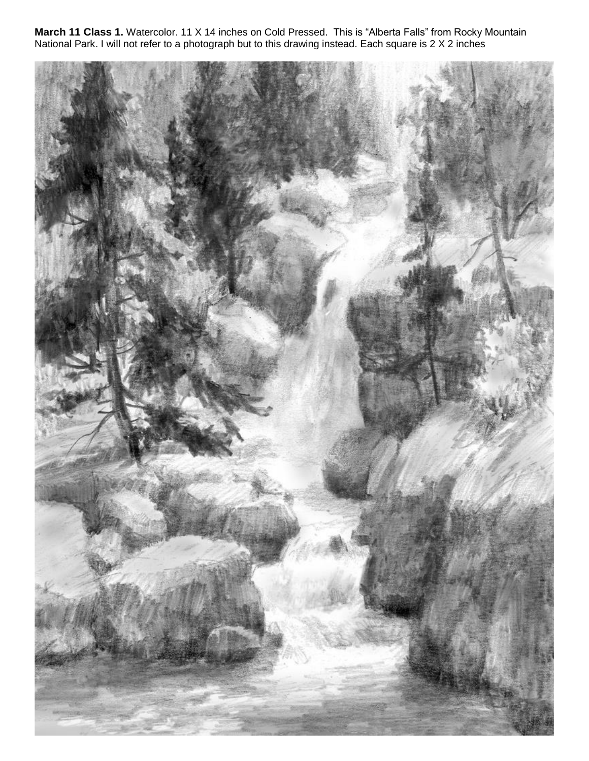**March 11 Class 1.** Watercolor. 11 X 14 inches on Cold Pressed. This is "Alberta Falls" from Rocky Mountain National Park. I will not refer to a photograph but to this drawing instead. Each square is 2 X 2 inches

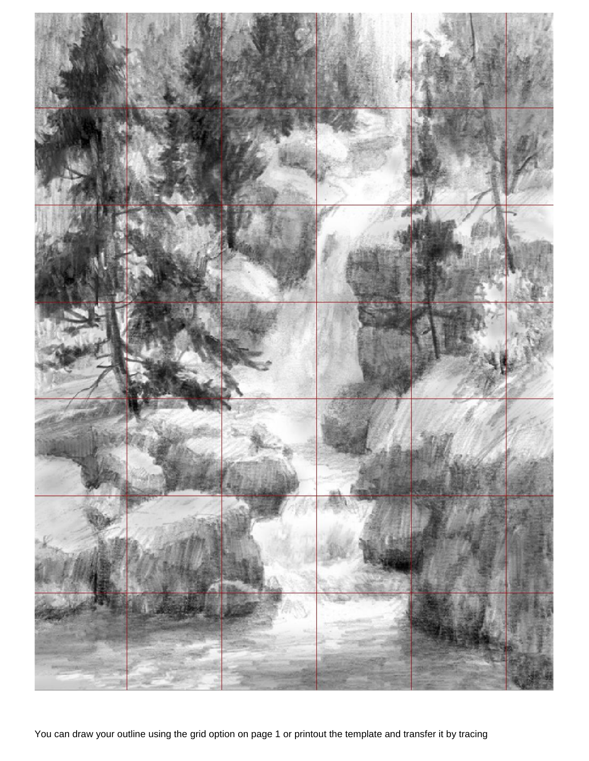

You can draw your outline using the grid option on page 1 or printout the template and transfer it by tracing